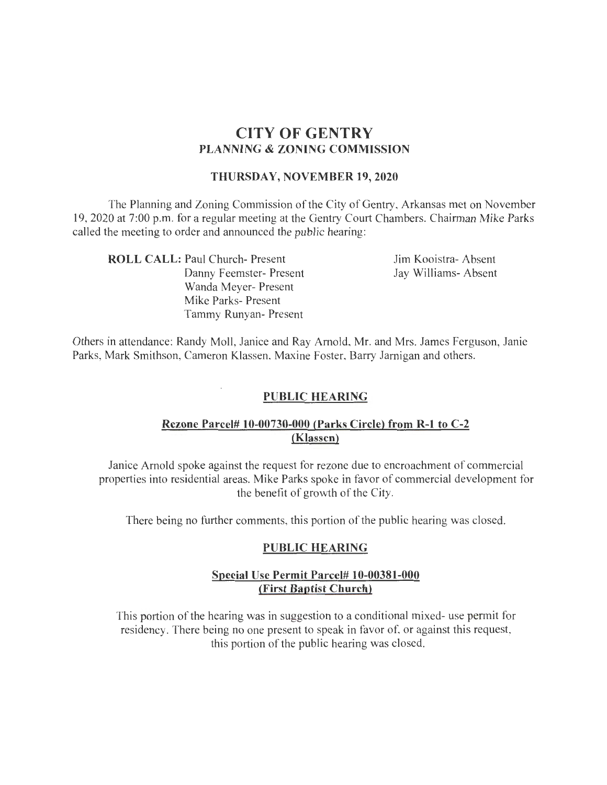# **CITY OF GENTRY PLANNING & ZONING COMMISSION**

#### **THURSDAY, NOVEMBER 19, 2020**

The Planning and Zoning Commission ofthe City of Gentry, Arkansas met on November 19, 2020 at 7:00p.m. for a regular meeting at the Gentry Court Chambers. Chairman Mike Parks called the meeting to order and announced the public hearing:

**ROLL CALL:** Paul Church- Present Danny Feemster- Present Wanda Meyer- Present Mike Parks- Present Tammy Runyan- Present

Jim Kooistra- Absent Jay Williams- Absent

Others in attendance: Randy Moll, Janice and Ray Arnold, Mr. and Mrs. James Ferguson, Janie Parks, Mark Smithson, Cameron Klassen, Maxine Foster, Barry Jarnigan and others.

### **PUBLIC HEARING**

### **Rezone Parcel# 10-00730-000 (Parks Circle) from R-1 to C-2 (Klassen)**

Janice Arnold spoke against the request for rezone due to encroachment of commercial properties into residential areas. Mike Parks spoke in favor of commercial development for the benefit of growth of the City.

There being no further comments, this portion of the public hearing was closed.

### **PUBLIC HEARING**

### **Special Use Permit Parcel# 10-00381-000 (First Baptist Church)**

This portion of the hearing was in suggestion to a conditional mixed- use permit for residency. There being no one present to speak in favor of, or against this request, this portion of the public hearing was closed.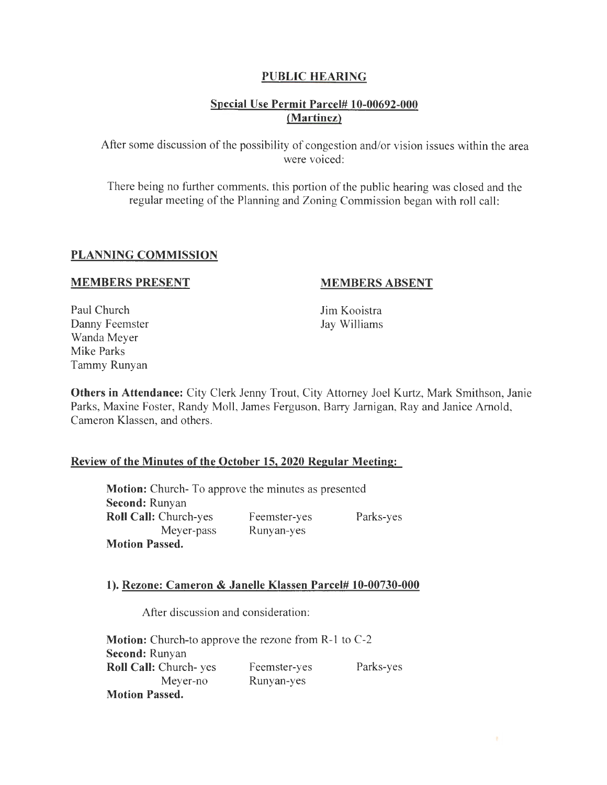### PUBLIC HEARING

### Special Use Permit Parcel# 10-00692-000 (Martinez)

After some discussion of the possibility of congestion and/or vision issues within the area were voiced:

There being no further comments, this portion of the public hearing was closed and the regular meeting of the Planning and Zoning Commission began with roll call:

#### PLANNING COMMISSION

#### MEMBERS PRESENT

#### MEMBERS ABSENT

Paul Church Danny Feemster Wanda Meyer Mike Parks Tammy Runyan

Jim Kooistra Jay Williams

Others in Attendance: City Clerk Jenny Trout, City Attorney Joel Kurtz, Mark Smithson, Janie Parks, Maxine Foster, Randy Moll, James Ferguson, Barry Jarnigan, Ray and Janice Arnold, Cameron Klassen, and others.

#### Review of the Minutes of the October 15, 2020 Regular Meeting:

Motion: Church- To approve the minutes as presented Second: Runyan Roll Call: Church-yes Meyer-pass Motion Passed. Feemster-yes Runyan-yes Parks-yes

#### 1). Rezone: Cameron & Janelle Klassen Parcel# 10-00730-000

After discussion and consideration:

Motion: Church-to approve the rezone from R-1 to C-2 Second: Runyan Roll Call: Church- yes Meyer-no Motion Passed. Feemster-yes Runyan-yes Parks-yes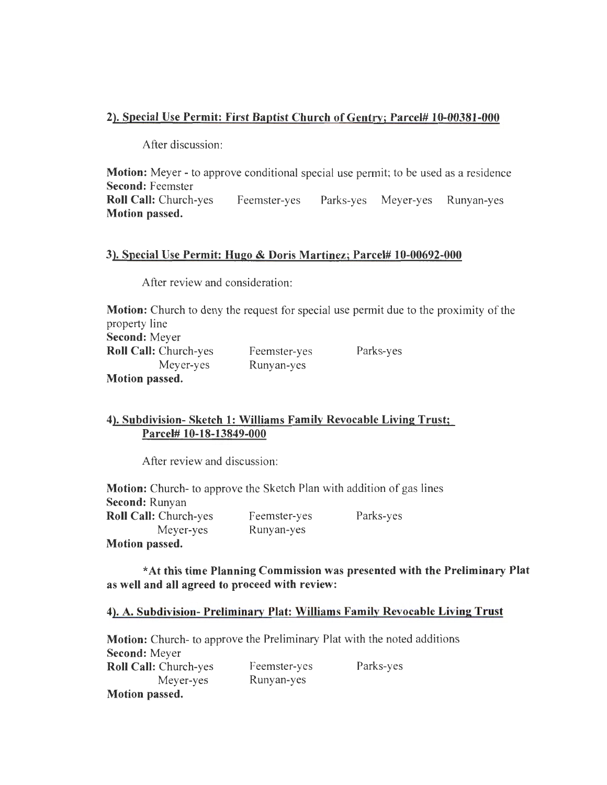## 2). Special Use Permit: First Baptist Church of Gentry; Parcel# 10-00381-000

After discussion:

**Motion:** Meyer - to approve conditional special use permit; to be used as a residence Second: Feemster Roll Call: Church-yes Feemster-yes Parks-yes Meyer-yes Runyan-yes Motion passed.

### 3). Special Use Permit: Hugo & Doris Martinez; Parcel# 10-00692-000

After review and consideration:

**Motion:** Church to deny the request for special use permit due to the proximity of the property line Second: Meyer Roll Call: Church-yes Meyer-yes Motion passed. Feemster-yes Runyan-yes Parks-yes

## 4). Subdivision- Sketch 1: Williams Family Revocable Living Trust; Parcel# 10-18-13849-000

After review and discussion:

| <b>Motion:</b> Church- to approve the Sketch Plan with addition of gas lines |              |           |
|------------------------------------------------------------------------------|--------------|-----------|
| <b>Second: Runyan</b>                                                        |              |           |
| <b>Roll Call: Church-yes</b>                                                 | Feemster-yes | Parks-yes |
| Meyer-yes                                                                    | Runyan-yes   |           |
| <b>Motion passed.</b>                                                        |              |           |

\*At this time Planning Commission was presented with the Preliminary Plat as well and all agreed to proceed with review:

### 4). A. Subdivision- Preliminary Plat: Williams Family Revocable Living Trust

Motion: Church- to approve the Preliminary Plat with the noted additions Second: Meyer Roll Call: Church-yes Meyer-yes Motion passed. Feemster-yes Runyan-yes Parks-yes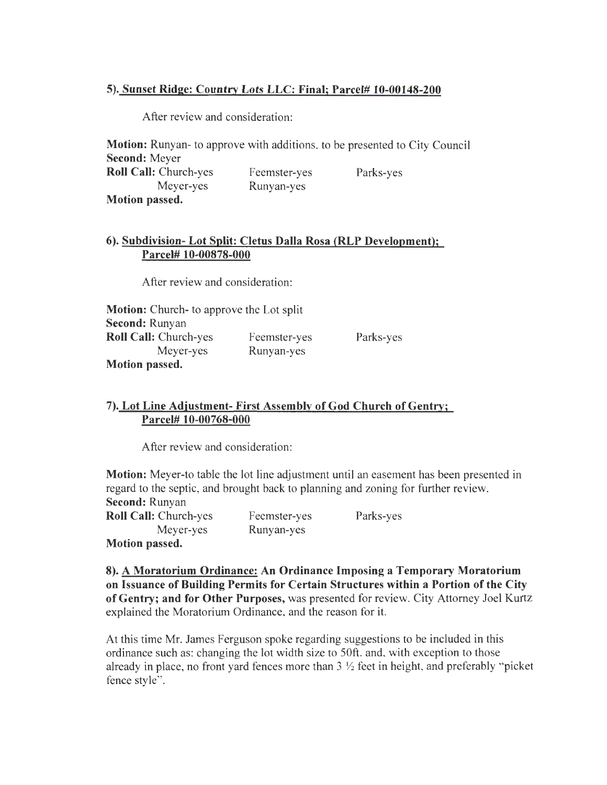### **5). Sunset Ridge: Country Lots LLC: Final; Parcel# 10-00148-200**

After review and consideration:

**Motion:** Runyan- to approve with additions, to be presented to City Council **Second:** Meyer **Roll Call:** Church-yes Meyer-yes **Motion passed.**  Feemster-yes Runyan-yes Parks-yes

### **6). Subdivision- Lot Split: Cletus Dalla Rosa (RLP Development); Parcel# 10-00878-000**

After review and consideration:

**Motion:** Church- to approve the Lot split **Second:** Runyan **Roll Call:** Church-yes Meyer-yes **Motion passed.**  Feemster-yes Runyan-yes Parks-yes

### **7). Lot Line Adjustment- First Assembly of God Church of Gentry; Parcel# 10-00768-000**

After review and consideration:

**Motion:** Meyer-to table the lot line adjustment until an easement has been presented in regard to the septic, and brought back to planning and zoning for further review. **Second:** Runyan

| <b>Roll Call: Church-yes</b> | Feemster-yes | Parks-yes |
|------------------------------|--------------|-----------|
| Meyer-yes                    | Runyan-yes   |           |
| Motion passed.               |              |           |

**8). A Moratorium Ordinance: An Ordinance Imposing a Temporary Moratorium on Issuance of Building Permits for Certain Structures within a Portion of the City of Gentry; and for Other Purposes,** was presented for review. City Attorney Joel Kurtz explained the Moratorium Ordinance, and the reason for it.

At this time Mr. James Ferguson spoke regarding suggestions to be included in this ordinance such as: changing the lot width size to 50ft. and, with exception to those already in place, no front yard fences more than 3 *Y2* feet in height, and preferably "picket fence style".